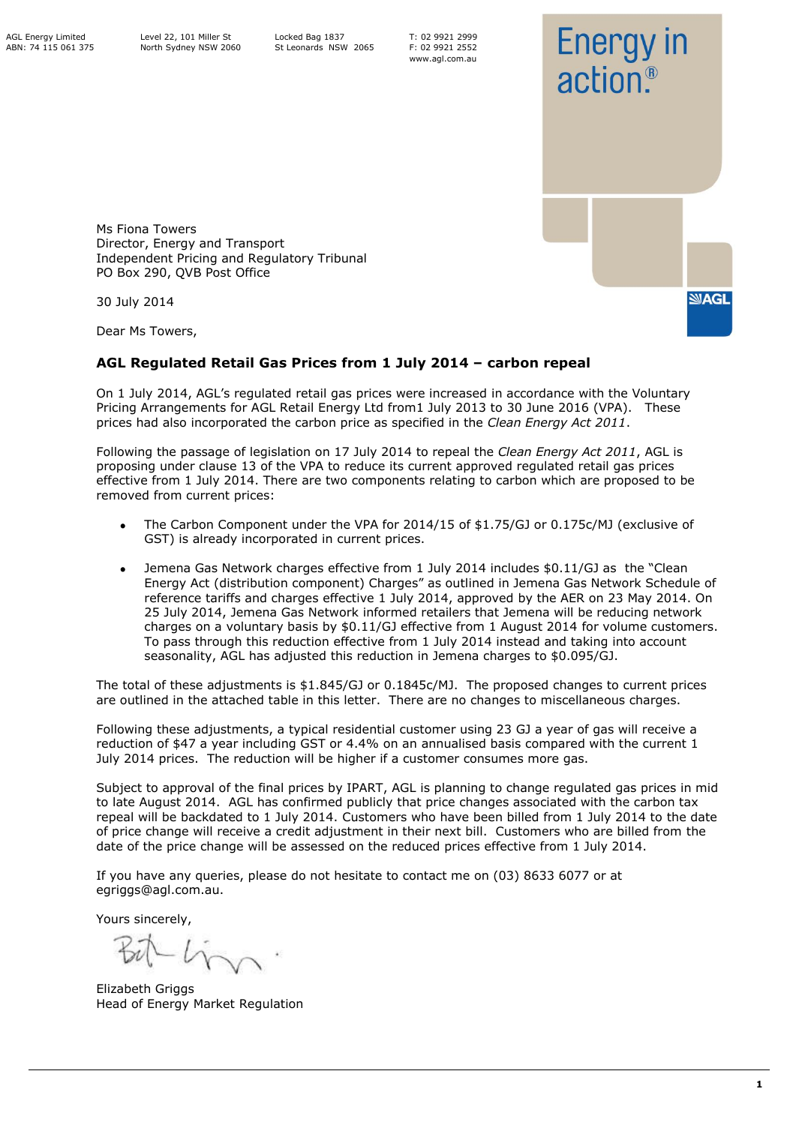T: 02 9921 2999 F: 02 9921 2552 www.agl.com.au



Ms Fiona Towers Director, Energy and Transport Independent Pricing and Regulatory Tribunal PO Box 290, QVB Post Office

30 July 2014

Dear Ms Towers,

## **AGL Regulated Retail Gas Prices from 1 July 2014 – carbon repeal**

On 1 July 2014, AGL's regulated retail gas prices were increased in accordance with the Voluntary Pricing Arrangements for AGL Retail Energy Ltd from1 July 2013 to 30 June 2016 (VPA). These prices had also incorporated the carbon price as specified in the *Clean Energy Act 2011*.

Following the passage of legislation on 17 July 2014 to repeal the *Clean Energy Act 2011*, AGL is proposing under clause 13 of the VPA to reduce its current approved regulated retail gas prices effective from 1 July 2014. There are two components relating to carbon which are proposed to be removed from current prices:

- The Carbon Component under the VPA for 2014/15 of \$1.75/GJ or 0.175c/MJ (exclusive of GST) is already incorporated in current prices.
- Jemena Gas Network charges effective from 1 July 2014 includes \$0.11/GJ as the "Clean Energy Act (distribution component) Charges" as outlined in Jemena Gas Network Schedule of reference tariffs and charges effective 1 July 2014, approved by the AER on 23 May 2014. On 25 July 2014, Jemena Gas Network informed retailers that Jemena will be reducing network charges on a voluntary basis by \$0.11/GJ effective from 1 August 2014 for volume customers. To pass through this reduction effective from 1 July 2014 instead and taking into account seasonality, AGL has adjusted this reduction in Jemena charges to \$0.095/GJ.

The total of these adjustments is \$1.845/GJ or 0.1845c/MJ. The proposed changes to current prices are outlined in the attached table in this letter. There are no changes to miscellaneous charges.

Following these adjustments, a typical residential customer using 23 GJ a year of gas will receive a reduction of \$47 a year including GST or 4.4% on an annualised basis compared with the current 1 July 2014 prices. The reduction will be higher if a customer consumes more gas.

Subject to approval of the final prices by IPART, AGL is planning to change regulated gas prices in mid to late August 2014. AGL has confirmed publicly that price changes associated with the carbon tax repeal will be backdated to 1 July 2014. Customers who have been billed from 1 July 2014 to the date of price change will receive a credit adjustment in their next bill. Customers who are billed from the date of the price change will be assessed on the reduced prices effective from 1 July 2014.

If you have any queries, please do not hesitate to contact me on (03) 8633 6077 or at egriggs@agl.com.au.

Yours sincerely,

Elizabeth Griggs Head of Energy Market Regulation